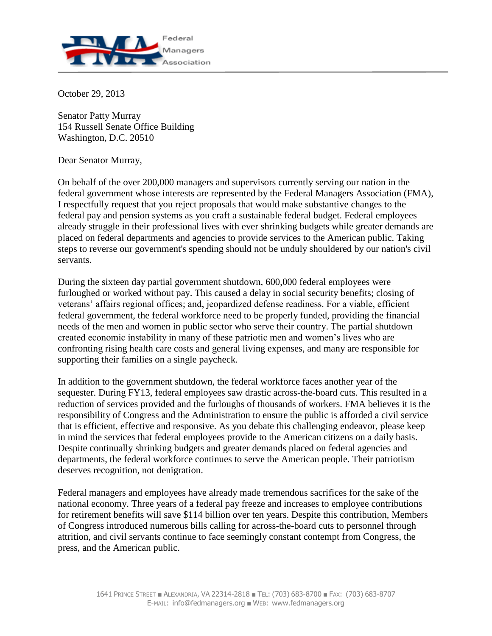

October 29, 2013

Senator Patty Murray 154 Russell Senate Office Building Washington, D.C. 20510

Dear Senator Murray,

On behalf of the over 200,000 managers and supervisors currently serving our nation in the federal government whose interests are represented by the Federal Managers Association (FMA), I respectfully request that you reject proposals that would make substantive changes to the federal pay and pension systems as you craft a sustainable federal budget. Federal employees already struggle in their professional lives with ever shrinking budgets while greater demands are placed on federal departments and agencies to provide services to the American public. Taking steps to reverse our government's spending should not be unduly shouldered by our nation's civil servants.

During the sixteen day partial government shutdown, 600,000 federal employees were furloughed or worked without pay. This caused a delay in social security benefits; closing of veterans' affairs regional offices; and, jeopardized defense readiness. For a viable, efficient federal government, the federal workforce need to be properly funded, providing the financial needs of the men and women in public sector who serve their country. The partial shutdown created economic instability in many of these patriotic men and women's lives who are confronting rising health care costs and general living expenses, and many are responsible for supporting their families on a single paycheck.

In addition to the government shutdown, the federal workforce faces another year of the sequester. During FY13, federal employees saw drastic across-the-board cuts. This resulted in a reduction of services provided and the furloughs of thousands of workers. FMA believes it is the responsibility of Congress and the Administration to ensure the public is afforded a civil service that is efficient, effective and responsive. As you debate this challenging endeavor, please keep in mind the services that federal employees provide to the American citizens on a daily basis. Despite continually shrinking budgets and greater demands placed on federal agencies and departments, the federal workforce continues to serve the American people. Their patriotism deserves recognition, not denigration.

Federal managers and employees have already made tremendous sacrifices for the sake of the national economy. Three years of a federal pay freeze and increases to employee contributions for retirement benefits will save \$114 billion over ten years. Despite this contribution, Members of Congress introduced numerous bills calling for across-the-board cuts to personnel through attrition, and civil servants continue to face seemingly constant contempt from Congress, the press, and the American public.